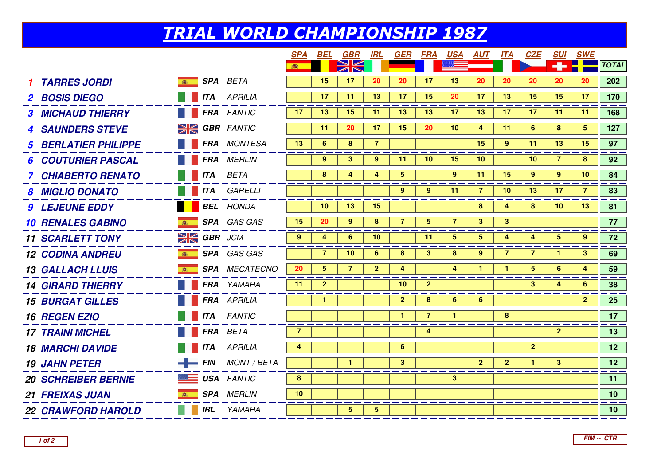## TRIAL WORLD CHAMPIONSHIP 1987

|                               |                |                       | <b>SPA</b>     | BEL             | GBR            | <b>IRL</b>     | GER            | <b>FRA</b>     | <b>USA</b>      | <u>AUT</u>     | <u>ITA</u>     | CZE             | <u>SUI</u>     | <u>SWE</u>      |                 |
|-------------------------------|----------------|-----------------------|----------------|-----------------|----------------|----------------|----------------|----------------|-----------------|----------------|----------------|-----------------|----------------|-----------------|-----------------|
|                               |                |                       | <b>alle</b>    |                 | <b>NK</b>      |                |                |                |                 |                |                |                 |                |                 | <b>TOTAL</b>    |
| <b>TARRES JORDI</b>           |                | <b>SPA</b> BETA       |                | 15              | 17             | 20             | 20             | 17             | 13              | 20             | 20             | 20              | 20             | 20              | 202             |
| 2 BOSIS DIEGO                 |                | <b>ITA</b> APRILIA    |                | 17              | 11             | 13             | 17             | 15             | 20              | 17             | 13             | 15              | 15             | 17              | 170             |
| <b>3 MICHAUD THIERRY</b>      |                | <b>FRA</b> FANTIC     | 17             | 13              | 15             | 11             | 13             | 13             | 17              | 13             | 17             | 17 <sub>2</sub> | 11             | 11              | 168             |
| <b>4 SAUNDERS STEVE</b>       |                | <b>SIZ GBR</b> FANTIC |                | 11              | 20             | 17             | 15             | 20             | 10              | 4              | 11             | 6               | 8              | 5               | 127             |
| <b>5 BERLATIER PHILIPPE</b>   |                | <b>FRA</b> MONTESA    | 13             | 6               | 8              | 7              |                |                |                 | 15             | 9              | 11              | 13             | 15              | 97              |
| <b>6 COUTURIER PASCAL</b>     |                | <b>FRA</b> MERLIN     |                | 9               | 3              | 9              | 11             | 10             | 15              | 10             |                | 10              | $\overline{7}$ | 8               | 92              |
| <b>CHIABERTO RENATO</b>       |                | <b>ITA</b> BETA       |                | 8               | 4              | 4              | 5              |                | 9               | 11             | 15             | 9               | 9              | 10 <sup>°</sup> | 84              |
| 8 MIGLIO DONATO               | <b>ITA</b>     | GARELLI               |                |                 |                |                | 9              | 9              | 11              | $\overline{7}$ | 10             | 13              | 17             | $\overline{7}$  | 83              |
| <b>9 LEJEUNE EDDY</b>         |                | <b>BEL</b> HONDA      |                | 10              | 13             | 15             |                |                |                 | 8              | 4              | 8               | 10             | 13              | 81              |
| <b>10 RENALES GABINO</b>      |                | SPA GAS GAS           | 15             | 20              | 9              | 8              | $\overline{7}$ | 5 <sup>5</sup> | $\overline{7}$  | 3              | 3 <sup>2</sup> |                 |                |                 | 77              |
| <b>11 SCARLETT TONY</b>       | $\geq$ GBR JCM |                       | 9              | 4               | 6              | 10             |                | 11             | $5\overline{)}$ | 5              | 4              | $\overline{4}$  | 5              | $9^{\circ}$     | 72              |
| <b>12 CODINA ANDREU</b>       |                | SPA GAS GAS           |                | $\overline{7}$  | 10             | 6              | 8              | $\mathbf{3}$   | 8               | 9              | $\overline{7}$ | $\overline{7}$  | $\mathbf{1}$   | $\mathbf{3}$    | 69              |
| <b>13 GALLACH LLUIS</b>       |                | <b>SPA</b> MECATECNO  | 20             | $5\overline{)}$ | $\overline{7}$ | $\overline{2}$ | 4              |                | 4               | 1              | 1.             | 5               | 6              | 4               | 59              |
| <b>14 GIRARD THIERRY</b>      |                | <b>FRA</b> YAMAHA     | 11             | $\mathbf{2}$    |                |                | 10             | $\mathbf{2}$   |                 |                |                | 3               | 4              | 6               | 38              |
| <b>15 BURGAT GILLES</b>       |                | <b>FRA</b> APRILIA    |                | $\mathbf{1}$    |                |                | $\mathbf{2}$   | 8              | 6               | $6^{\circ}$    |                |                 |                | $\mathbf{2}$    | 25              |
| <b>16 REGEN EZIO</b>          |                | <b>ITA</b> FANTIC     |                |                 |                |                | $\mathbf{1}$   | $\overline{7}$ | 1               |                | 8              |                 |                |                 | 17 <sub>2</sub> |
| <b>17 TRAINI MICHEL</b>       |                | <b>FRA</b> BETA       | $\overline{7}$ |                 |                |                |                | 4              |                 |                |                |                 | $\overline{2}$ |                 | 13              |
| <b>18 MARCHI DAVIDE</b>       |                | <b>TA APRILIA</b>     | 4              |                 |                |                | $6\phantom{1}$ |                |                 |                |                | $\overline{2}$  |                |                 | 12 <sub>2</sub> |
| <b>19 JAHN PETER</b>          |                | $-FIN$ MONT / BETA    |                |                 | $\mathbf{1}$   |                | 3 <sup>2</sup> |                |                 | $\overline{2}$ | $\mathbf{2}$   | 1.              | $\mathbf{3}$   |                 | 12 <sub>2</sub> |
| <b>20 SCHREIBER BERNIE</b>    |                | <b>USA FANTIC</b>     | 8              |                 |                |                |                |                | 3               |                |                |                 |                |                 | 11              |
| <b>21 FREIXAS JUAN</b><br>(画) |                | <b>SPA</b> MERLIN     | 10             |                 |                |                |                |                |                 |                |                |                 |                |                 | 10 <sub>1</sub> |
| <b>22 CRAWFORD HAROLD</b>     | <b>IRL</b>     | YAMAHA                |                |                 | 5              | 5 <sup>5</sup> |                |                |                 |                |                |                 |                |                 | 10 <sub>1</sub> |